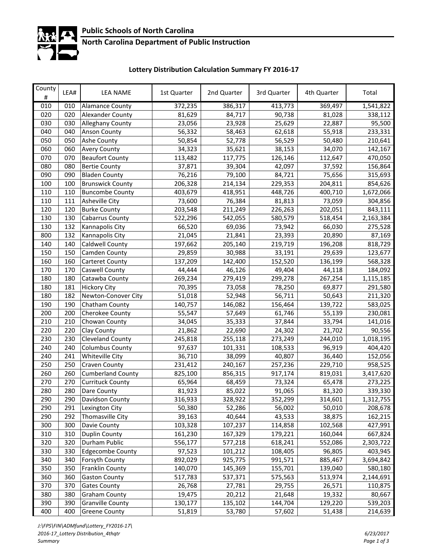

### **North Carolina Department of Public Instruction**

# **Lottery Distribution Calculation Summary FY 2016‐17**

| County<br>$\#$ | LEA# | <b>LEA NAME</b>          | 1st Quarter | 2nd Quarter | 3rd Quarter | 4th Quarter | Total     |
|----------------|------|--------------------------|-------------|-------------|-------------|-------------|-----------|
| 010            | 010  | <b>Alamance County</b>   | 372,235     | 386,317     | 413,773     | 369,497     | 1,541,822 |
| 020            | 020  | <b>Alexander County</b>  | 81,629      | 84,717      | 90,738      | 81,028      | 338,112   |
| 030            | 030  | <b>Alleghany County</b>  | 23,056      | 23,928      | 25,629      | 22,887      | 95,500    |
| 040            | 040  | <b>Anson County</b>      | 56,332      | 58,463      | 62,618      | 55,918      | 233,331   |
| 050            | 050  | Ashe County              | 50,854      | 52,778      | 56,529      | 50,480      | 210,641   |
| 060            | 060  | <b>Avery County</b>      | 34,323      | 35,621      | 38,153      | 34,070      | 142,167   |
| 070            | 070  | <b>Beaufort County</b>   | 113,482     | 117,775     | 126,146     | 112,647     | 470,050   |
| 080            | 080  | <b>Bertie County</b>     | 37,871      | 39,304      | 42,097      | 37,592      | 156,864   |
| 090            | 090  | <b>Bladen County</b>     | 76,216      | 79,100      | 84,721      | 75,656      | 315,693   |
| 100            | 100  | <b>Brunswick County</b>  | 206,328     | 214,134     | 229,353     | 204,811     | 854,626   |
| 110            | 110  | <b>Buncombe County</b>   | 403,679     | 418,951     | 448,726     | 400,710     | 1,672,066 |
| 110            | 111  | Asheville City           | 73,600      | 76,384      | 81,813      | 73,059      | 304,856   |
| 120            | 120  | <b>Burke County</b>      | 203,548     | 211,249     | 226,263     | 202,051     | 843,111   |
| 130            | 130  | Cabarrus County          | 522,296     | 542,055     | 580,579     | 518,454     | 2,163,384 |
| 130            | 132  | Kannapolis City          | 66,520      | 69,036      | 73,942      | 66,030      | 275,528   |
| 800            | 132  | Kannapolis City          | 21,045      | 21,841      | 23,393      | 20,890      | 87,169    |
| 140            | 140  | Caldwell County          | 197,662     | 205,140     | 219,719     | 196,208     | 818,729   |
| 150            | 150  | Camden County            | 29,859      | 30,988      | 33,191      | 29,639      | 123,677   |
| 160            | 160  | Carteret County          | 137,209     | 142,400     | 152,520     | 136,199     | 568,328   |
| 170            | 170  | Caswell County           | 44,444      | 46,126      | 49,404      | 44,118      | 184,092   |
| 180            | 180  | Catawba County           | 269,234     | 279,419     | 299,278     | 267,254     | 1,115,185 |
| 180            | 181  | <b>Hickory City</b>      | 70,395      | 73,058      | 78,250      | 69,877      | 291,580   |
| 180            | 182  | Newton-Conover City      | 51,018      | 52,948      | 56,711      | 50,643      | 211,320   |
| 190            | 190  | Chatham County           | 140,757     | 146,082     | 156,464     | 139,722     | 583,025   |
| 200            | 200  | Cherokee County          | 55,547      | 57,649      | 61,746      | 55,139      | 230,081   |
| 210            | 210  | Chowan County            | 34,045      | 35,333      | 37,844      | 33,794      | 141,016   |
| 220            | 220  | Clay County              | 21,862      | 22,690      | 24,302      | 21,702      | 90,556    |
| 230            | 230  | Cleveland County         | 245,818     | 255,118     | 273,249     | 244,010     | 1,018,195 |
| 240            | 240  | <b>Columbus County</b>   | 97,637      | 101,331     | 108,533     | 96,919      | 404,420   |
| 240            | 241  | <b>Whiteville City</b>   | 36,710      | 38,099      | 40,807      | 36,440      | 152,056   |
| 250            | 250  | Craven County            | 231,412     | 240,167     | 257,236     | 229,710     | 958,525   |
| 260            | 260  | <b>Cumberland County</b> | 825,100     | 856,315     | 917,174     | 819,031     | 3,417,620 |
| 270            | 270  | <b>Currituck County</b>  | 65,964      | 68,459      | 73,324      | 65,478      | 273,225   |
| 280            | 280  | Dare County              | 81,923      | 85,022      | 91,065      | 81,320      | 339,330   |
| 290            | 290  | Davidson County          | 316,933     | 328,922     | 352,299     | 314,601     | 1,312,755 |
| 290            | 291  | Lexington City           | 50,380      | 52,286      | 56,002      | 50,010      | 208,678   |
| 290            | 292  | Thomasville City         | 39,163      | 40,644      | 43,533      | 38,875      | 162,215   |
| 300            | 300  | Davie County             | 103,328     | 107,237     | 114,858     | 102,568     | 427,991   |
| 310            | 310  | <b>Duplin County</b>     | 161,230     | 167,329     | 179,221     | 160,044     | 667,824   |
| 320            | 320  | Durham Public            | 556,177     | 577,218     | 618,241     | 552,086     | 2,303,722 |
| 330            | 330  | <b>Edgecombe County</b>  | 97,523      | 101,212     | 108,405     | 96,805      | 403,945   |
| 340            | 340  | Forsyth County           | 892,029     | 925,775     | 991,571     | 885,467     | 3,694,842 |
| 350            | 350  | Franklin County          | 140,070     | 145,369     | 155,701     | 139,040     | 580,180   |
| 360            | 360  | <b>Gaston County</b>     | 517,783     | 537,371     | 575,563     | 513,974     | 2,144,691 |
| 370            | 370  | <b>Gates County</b>      | 26,768      | 27,781      | 29,755      | 26,571      | 110,875   |
| 380            | 380  | <b>Graham County</b>     | 19,475      | 20,212      | 21,648      | 19,332      | 80,667    |
| 390            | 390  | <b>Granville County</b>  | 130,177     | 135,102     | 144,704     | 129,220     | 539,203   |
| 400            | 400  | <b>Greene County</b>     | 51,819      | 53,780      | 57,602      | 51,438      | 214,639   |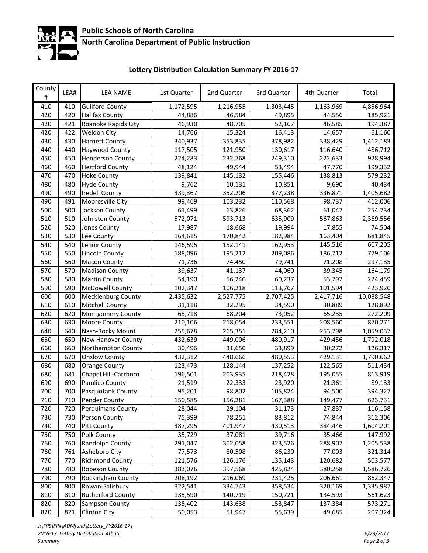

### **North Carolina Department of Public Instruction**

# **Lottery Distribution Calculation Summary FY 2016‐17**

| County<br># | LEA# | <b>LEA NAME</b>           | 1st Quarter | 2nd Quarter | 3rd Quarter | 4th Quarter | Total      |
|-------------|------|---------------------------|-------------|-------------|-------------|-------------|------------|
| 410         | 410  | <b>Guilford County</b>    | 1,172,595   | 1,216,955   | 1,303,445   | 1,163,969   | 4,856,964  |
| 420         | 420  | <b>Halifax County</b>     | 44,886      | 46,584      | 49,895      | 44,556      | 185,921    |
| 420         | 421  | Roanoke Rapids City       | 46,930      | 48,705      | 52,167      | 46,585      | 194,387    |
| 420         | 422  | Weldon City               | 14,766      | 15,324      | 16,413      | 14,657      | 61,160     |
| 430         | 430  | <b>Harnett County</b>     | 340,937     | 353,835     | 378,982     | 338,429     | 1,412,183  |
| 440         | 440  | Haywood County            | 117,505     | 121,950     | 130,617     | 116,640     | 486,712    |
| 450         | 450  | <b>Henderson County</b>   | 224,283     | 232,768     | 249,310     | 222,633     | 928,994    |
| 460         | 460  | <b>Hertford County</b>    | 48,124      | 49,944      | 53,494      | 47,770      | 199,332    |
| 470         | 470  | <b>Hoke County</b>        | 139,841     | 145,132     | 155,446     | 138,813     | 579,232    |
| 480         | 480  | <b>Hyde County</b>        | 9,762       | 10,131      | 10,851      | 9,690       | 40,434     |
| 490         | 490  | <b>Iredell County</b>     | 339,367     | 352,206     | 377,238     | 336,871     | 1,405,682  |
| 490         | 491  | Mooresville City          | 99,469      | 103,232     | 110,568     | 98,737      | 412,006    |
| 500         | 500  | Jackson County            | 61,499      | 63,826      | 68,362      | 61,047      | 254,734    |
| 510         | 510  | Johnston County           | 572,071     | 593,713     | 635,909     | 567,863     | 2,369,556  |
| 520         | 520  | Jones County              | 17,987      | 18,668      | 19,994      | 17,855      | 74,504     |
| 530         | 530  | Lee County                | 164,615     | 170,842     | 182,984     | 163,404     | 681,845    |
| 540         | 540  | Lenoir County             | 146,595     | 152,141     | 162,953     | 145,516     | 607,205    |
| 550         | 550  | <b>Lincoln County</b>     | 188,096     | 195,212     | 209,086     | 186,712     | 779,106    |
| 560         | 560  | <b>Macon County</b>       | 71,736      | 74,450      | 79,741      | 71,208      | 297,135    |
| 570         | 570  | <b>Madison County</b>     | 39,637      | 41,137      | 44,060      | 39,345      | 164,179    |
| 580         | 580  | <b>Martin County</b>      | 54,190      | 56,240      | 60,237      | 53,792      | 224,459    |
| 590         | 590  | <b>McDowell County</b>    | 102,347     | 106,218     | 113,767     | 101,594     | 423,926    |
| 600         | 600  | <b>Mecklenburg County</b> | 2,435,632   | 2,527,775   | 2,707,425   | 2,417,716   | 10,088,548 |
| 610         | 610  | <b>Mitchell County</b>    | 31,118      | 32,295      | 34,590      | 30,889      | 128,892    |
| 620         | 620  | Montgomery County         | 65,718      | 68,204      | 73,052      | 65,235      | 272,209    |
| 630         | 630  | Moore County              | 210,106     | 218,054     | 233,551     | 208,560     | 870,271    |
| 640         | 640  | Nash-Rocky Mount          | 255,678     | 265,351     | 284,210     | 253,798     | 1,059,037  |
| 650         | 650  | New Hanover County        | 432,639     | 449,006     | 480,917     | 429,456     | 1,792,018  |
| 660         | 660  | Northampton County        | 30,496      | 31,650      | 33,899      | 30,272      | 126,317    |
| 670         | 670  | <b>Onslow County</b>      | 432,312     | 448,666     | 480,553     | 429,131     | 1,790,662  |
| 680         | 680  | <b>Orange County</b>      | 123,473     | 128,144     | 137,252     | 122,565     | 511,434    |
| 680         | 681  | Chapel Hill-Carrboro      | 196,501     | 203,935     | 218,428     | 195,055     | 813,919    |
| 690         | 690  | Pamlico County            | 21,519      | 22,333      | 23,920      | 21,361      | 89,133     |
| 700         | 700  | Pasquotank County         | 95,201      | 98,802      | 105,824     | 94,500      | 394,327    |
| 710         | 710  | Pender County             | 150,585     | 156,281     | 167,388     | 149,477     | 623,731    |
| 720         | 720  | <b>Perquimans County</b>  | 28,044      | 29,104      | 31,173      | 27,837      | 116,158    |
| 730         | 730  | Person County             | 75,399      | 78,251      | 83,812      | 74,844      | 312,306    |
| 740         | 740  | <b>Pitt County</b>        | 387,295     | 401,947     | 430,513     | 384,446     | 1,604,201  |
| 750         | 750  | Polk County               | 35,729      | 37,081      | 39,716      | 35,466      | 147,992    |
| 760         | 760  | Randolph County           | 291,047     | 302,058     | 323,526     | 288,907     | 1,205,538  |
| 760         | 761  | Asheboro City             | 77,573      | 80,508      | 86,230      | 77,003      | 321,314    |
| 770         | 770  | <b>Richmond County</b>    | 121,576     | 126,176     | 135,143     | 120,682     | 503,577    |
| 780         | 780  | Robeson County            | 383,076     | 397,568     | 425,824     | 380,258     | 1,586,726  |
| 790         | 790  | Rockingham County         | 208,192     | 216,069     | 231,425     | 206,661     | 862,347    |
| 800         | 800  | Rowan-Salisbury           | 322,541     | 334,743     | 358,534     | 320,169     | 1,335,987  |
| 810         | 810  | Rutherford County         | 135,590     | 140,719     | 150,721     | 134,593     | 561,623    |
| 820         | 820  | Sampson County            | 138,402     | 143,638     | 153,847     | 137,384     | 573,271    |
| 820         | 821  | Clinton City              | 50,053      | 51,947      | 55,639      | 49,685      | 207,324    |